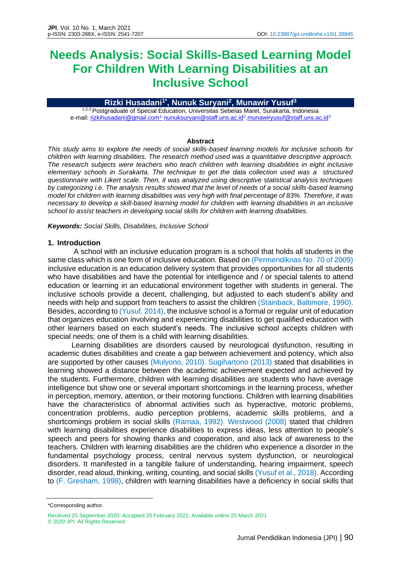# **Needs Analysis: Social Skills-Based Learning Model For Children With Learning Disabilities at an Inclusive School**

## **Rizki Husadani1\* , Nunuk Suryani<sup>2</sup> , Munawir Yusuf<sup>3</sup>**

1,2,3 Postgraduate of Special Education, Universitas Sebelas Maret, Surakarta, Indonesia e-mail: <u>rizkihusadani@gmail.com<sup>1,</sup> [nunuksuryani@staff.uns.ac.id](mailto:nunuksuryani@staff.uns.ac.id)<sup>2</sup>[,munawiryusuf@staff.uns.ac.id](mailto:munawiryusuf@staff.uns.ac.id)<sup>3</sup></u>

#### **Abstract**

*This study aims to explore the needs of social skills-based learning models for inclusive schools for children with learning disabilities. The research method used was a quantitative descriptive approach. The research subjects were teachers who teach children with learning disabilities in eight inclusive elementary schools in Surakarta. The technique to get the data collection used was a structured questionnaire with Likert scale. Then, it was analyzed using descriptive statistical analysis techniques by categorizing i.e. The analysis results showed that the level of needs of a social skills-based learning model for children with learning disabilities was very high with final percentage of 83%. Therefore, it was necessary to develop a skill-based learning model for children with learning disabilities in an inclusive school to assist teachers in developing social skills for children with learning disabilities.*

*Keywords: Social Skills, Disabilities, Inclusive School*

#### **1. Introduction**

A school with an inclusive education program is a school that holds all students in the same class which is one form of inclusive education. Based on (Permendiknas No. 70 of 2009) inclusive education is an education delivery system that provides opportunities for all students who have disabilities and have the potential for intelligence and / or special talents to attend education or learning in an educational environment together with students in general. The inclusive schools provide a decent, challenging, but adjusted to each student's ability and needs with help and support from teachers to assist the children (Stainback, Baltimore, 1990). Besides, according to (Yusuf, 2014), the inclusive school is a formal or regular unit of education that organizes education involving and experiencing disabilities to get qualified education with other learners based on each student's needs. The inclusive school accepts children with special needs; one of them is a child with learning disabilities.

Learning disabilities are disorders caused by neurological dysfunction, resulting in academic duties disabilities and create a gap between achievement and potency, which also are supported by other causes (Mulyono, 2010). Sugihartono (2013) stated that disabilities in learning showed a distance between the academic achievement expected and achieved by the students. Furthermore, children with learning disabilities are students who have average intelligence but show one or several important shortcomings in the learning process, whether in perception, memory, attention, or their motoring functions. Children with learning disabilities have the characteristics of abnormal activities such as hyperactive, motoric problems, concentration problems, audio perception problems, academic skills problems, and a shortcomings problem in social skills (Ramaa, 1992). Westwood (2008) stated that children with learning disabilities experience disabilities to express ideas, less attention to people's speech and peers for showing thanks and cooperation, and also lack of awareness to the teachers. Children with learning disabilities are the children who experience a disorder in the fundamental psychology process, central nervous system dysfunction, or neurological disorders. It manifested in a tangible failure of understanding, hearing impairment, speech disorder, read aloud, thinking, writing, counting, and social skills (Yusuf et al., 2018). According to (F. Gresham, 1998), children with learning disabilities have a deficiency in social skills that

<sup>\*</sup>Corresponding author.

Received 25 September 2020; Accepted 20 February 2021; Available online 25 March 2021 © 2020 JPI. All Rights Reserved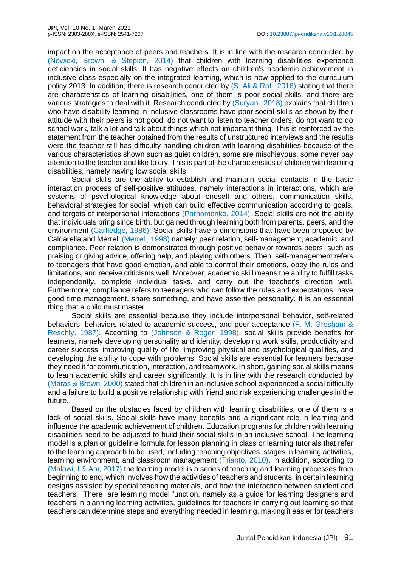impact on the acceptance of peers and teachers. It is in line with the research conducted by (Nowicki, Brown, & Stepien, 2014) that children with learning disabilities experience deficiencies in social skills. It has negative effects on children's academic achievement in inclusive class especially on the integrated learning, which is now applied to the curriculum policy 2013. In addition, there is research conducted by (S. Ali & Rafi, 2016) stating that there are characteristics of learning disabilities, one of them is poor social skills, and there are various strategies to deal with it. Research conducted by (Suryani, 2018) explains that children who have disability learning in inclusive classrooms have poor social skills as shown by their attitude with their peers is not good, do not want to listen to teacher orders, do not want to do school work, talk a lot and talk about things which not important thing. This is reinforced by the statement from the teacher obtained from the results of unstructured interviews and the results were the teacher still has difficulty handling children with learning disabilities because of the various characteristics shown such as quiet children, some are mischievous, some never pay attention to the teacher and like to cry. This is part of the characteristics of children with learning disabilities, namely having low social skills.

Social skills are the ability to establish and maintain social contacts in the basic interaction process of self-positive attitudes, namely interactions in interactions, which are systems of psychological knowledge about oneself and others, communication skills, behavioral strategies for social, which can build effective communication according to goals. and targets of interpersonal interactions (Parhomenko, 2014). Social skills are not the ability that individuals bring since birth, but gained through learning both from parents, peers, and the environment (Cartledge, 1986). Social skills have 5 dimensions that have been proposed by Caldarella and Merrell (Merrell, 1998) namely: peer relation, self-management, academic, and compliance. Peer relation is demonstrated through positive behavior towards peers, such as praising or giving advice, offering help, and playing with others. Then, self-management refers to teenagers that have good emotion, and able to control their emotions, obey the rules and limitations, and receive criticisms well. Moreover, academic skill means the ability to fulfill tasks independently, complete individual tasks, and carry out the teacher's direction well. Furthermore, compliance refers to teenagers who can follow the rules and expectations, have good time management, share something, and have assertive personality. It is an essential thing that a child must master.

Social skills are essential because they include interpersonal behavior, self-related behaviors, behaviors related to academic success, and peer acceptance (F. M. Gresham & Reschly, 1987). According to (Johnson & Roger, 1998), social skills provide benefits for learners, namely developing personality and identity, developing work skills, productivity and career success, improving quality of life, improving physical and psychological qualities, and developing the ability to cope with problems. Social skills are essential for learners because they need it for communication, interaction, and teamwork. In short, gaining social skills means to learn academic skills and career significantly. It is in line with the research conducted by (Maras & Brown, 2000) stated that children in an inclusive school experienced a social difficulty and a failure to build a positive relationship with friend and risk experiencing challenges in the future.

Based on the obstacles faced by children with learning disabilities, one of them is a lack of social skills. Social skills have many benefits and a significant role in learning and influence the academic achievement of children. Education programs for children with learning disabilities need to be adjusted to build their social skills in an inclusive school. The learning model is a plan or guideline formula for lesson planning in class or learning tutorials that refer to the learning approach to be used, including teaching objectives, stages in learning activities, learning environment, and classroom management (Trianto, 2010). In addition, according to (Malawi, I.& Ani, 2017) the learning model is a series of teaching and learning processes from beginning to end, which involves how the activities of teachers and students, in certain learning designs assisted by special teaching materials, and how the interaction between student and teachers. There are learning model function, namely as a guide for learning designers and teachers in planning learning activities, guidelines for teachers in carrying out learning so that teachers can determine steps and everything needed in learning, making it easier for teachers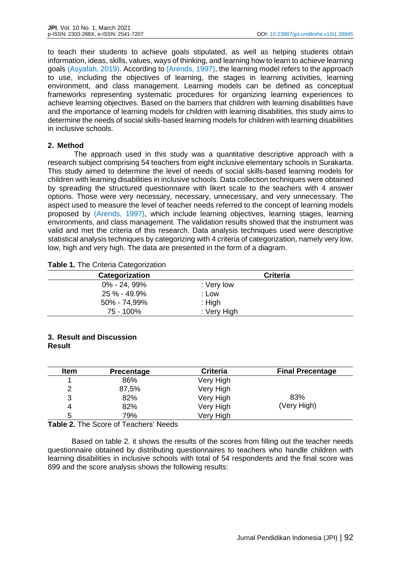to teach their students to achieve goals stipulated, as well as helping students obtain information, ideas, skills, values, ways of thinking, and learning how to learn to achieve learning goals (Asyafah, 2019). According to (Arends, 1997), the learning model refers to the approach to use, including the objectives of learning, the stages in learning activities, learning environment, and class management. Learning models can be defined as conceptual frameworks representing systematic procedures for organizing learning experiences to achieve learning objectives. Based on the barriers that children with learning disabilities have and the importance of learning models for children with learning disabilities, this study aims to determine the needs of social skills-based learning models for children with learning disabilities in inclusive schools.

#### **2. Method**

The approach used in this study was a quantitative descriptive approach with a research subject comprising 54 teachers from eight inclusive elementary schools in Surakarta. This study aimed to determine the level of needs of social skills-based learning models for children with learning disabilities in inclusive schools. Data collection techniques were obtained by spreading the structured questionnaire with likert scale to the teachers with 4 answer options. Those were very necessary, necessary, unnecessary, and very unnecessary. The aspect used to measure the level of teacher needs referred to the concept of learning models proposed by (Arends, 1997), which include learning objectives, learning stages, learning environments, and class management. The validation results showed that the instrument was valid and met the criteria of this research. Data analysis techniques used were descriptive statistical analysis techniques by categorizing with 4 criteria of categorization, namely very low, low, high and very high. The data are presented in the form of a diagram.

| Categorization  | <b>Criteria</b> |  |
|-----------------|-----------------|--|
| $0\%$ - 24, 99% | : Very low      |  |
| 25 % - 49.9%    | : Low           |  |
| 50% - 74,99%    | $:$ High        |  |
| 75 - 100%       | : Very High     |  |

|  |  | <b>Table 1. The Criteria Categorization</b> |
|--|--|---------------------------------------------|
|--|--|---------------------------------------------|

## **3. Result and Discussion Result**

| Item | <b>Precentage</b> | <b>Criteria</b> | <b>Final Precentage</b> |
|------|-------------------|-----------------|-------------------------|
|      | 86%               | Very High       |                         |
| າ    | 87,5%             | Very High       |                         |
| 3    | 82%               | Very High       | 83%                     |
| 4    | 82%               | Very High       | (Very High)             |
| 5    | 79%               | Very High       |                         |

**Table 2.** The Score of Teachers' Needs

Based on table 2. it shows the results of the scores from filling out the teacher needs questionnaire obtained by distributing questionnaires to teachers who handle children with learning disabilities in inclusive schools with total of 54 respondents and the final score was 899 and the score analysis shows the following results: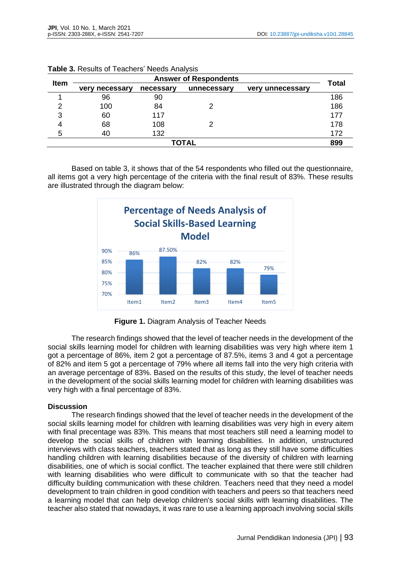| <b>Item</b>  | <b>Answer of Respondents</b> |           |             |                            | <b>Total</b> |
|--------------|------------------------------|-----------|-------------|----------------------------|--------------|
|              | necessary<br>verv            | necessary | unnecessary | unnecessary<br><b>verv</b> |              |
|              | 96                           | 90        |             |                            | 186          |
| ⌒            | 100                          | 84        | 2           |                            | 186          |
| 3            | 60                           | 117       |             |                            | 177          |
|              | 68                           | 108       | 2           |                            | 178          |
| 5            | 40                           | 132       |             |                            | 172          |
| <b>TOTAL</b> |                              |           |             | 899                        |              |

| Table 3. Results of Teachers' Needs Analysis |  |  |  |
|----------------------------------------------|--|--|--|
|----------------------------------------------|--|--|--|

Based on table 3, it shows that of the 54 respondents who filled out the questionnaire, all items got a very high percentage of the criteria with the final result of 83%. These results are illustrated through the diagram below:



**Figure 1.** Diagram Analysis of Teacher Needs

The research findings showed that the level of teacher needs in the development of the social skills learning model for children with learning disabilities was very high where item 1 got a percentage of 86%, item 2 got a percentage of 87.5%, items 3 and 4 got a percentage of 82% and item 5 got a percentage of 79% where all items fall into the very high criteria with an average percentage of 83%. Based on the results of this study, the level of teacher needs in the development of the social skills learning model for children with learning disabilities was very high with a final percentage of 83%.

## **Discussion**

The research findings showed that the level of teacher needs in the development of the social skills learning model for children with learning disabilities was very high in every aitem with final precentage was 83%. This means that most teachers still need a learning model to develop the social skills of children with learning disabilities. In addition, unstructured interviews with class teachers, teachers stated that as long as they still have some difficulties handling children with learning disabilities because of the diversity of children with learning disabilities, one of which is social conflict. The teacher explained that there were still children with learning disabilities who were difficult to communicate with so that the teacher had difficulty building communication with these children. Teachers need that they need a model development to train children in good condition with teachers and peers so that teachers need a learning model that can help develop children's social skills with learning disabilities. The teacher also stated that nowadays, it was rare to use a learning approach involving social skills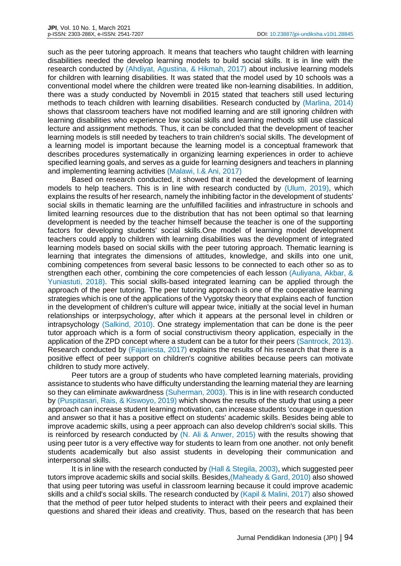such as the peer tutoring approach. It means that teachers who taught children with learning disabilities needed the develop learning models to build social skills. It is in line with the research conducted by (Ahdiyat, Agustina, & Hikmah, 2017) about inclusive learning models for children with learning disabilities. It was stated that the model used by 10 schools was a conventional model where the children were treated like non-learning disabilities. In addition, there was a study conducted by Novembli in 2015 stated that teachers still used lecturing methods to teach children with learning disabilities. Research conducted by (Marlina, 2014) shows that classroom teachers have not modified learning and are still ignoring children with learning disabilities who experience low social skills and learning methods still use classical lecture and assignment methods. Thus, it can be concluded that the development of teacher learning models is still needed by teachers to train children's social skills. The development of a learning model is important because the learning model is a conceptual framework that describes procedures systematically in organizing learning experiences in order to achieve specified learning goals, and serves as a guide for learning designers and teachers in planning and implementing learning activities (Malawi, I.& Ani, 2017)

Based on research conducted, it showed that it needed the development of learning models to help teachers. This is in line with research conducted by (Ulum, 2019), which explains the results of her research, namely the inhibiting factor in the development of students' social skills in thematic learning are the unfulfilled facilities and infrastructure in schools and limited learning resources due to the distribution that has not been optimal so that learning development is needed by the teacher himself because the teacher is one of the supporting factors for developing students' social skills.One model of learning model development teachers could apply to children with learning disabilities was the development of integrated learning models based on social skills with the peer tutoring approach. Thematic learning is learning that integrates the dimensions of attitudes, knowledge, and skills into one unit, combining competences from several basic lessons to be connected to each other so as to strengthen each other, combining the core competencies of each lesson (Auliyana, Akbar, & Yuniastuti, 2018). This social skills-based integrated learning can be applied through the approach of the peer tutoring*.* The peer tutoring approach is one of the cooperative learning strategies which is one of the applications of the Vygotsky theory that explains each of function in the development of children's culture will appear twice, initially at the social level in human relationships or interpsychology, after which it appears at the personal level in children or intrapsychology (Salkind, 2010). One strategy implementation that can be done is the peer tutor approach which is a form of social constructivism theory application, especially in the application of the ZPD concept where a student can be a tutor for their peers (Santrock, 2013). Research conducted by (Fajariesta, 2017) explains the results of his research that there is a positive effect of peer support on children's cognitive abilities because peers can motivate children to study more actively.

Peer tutors are a group of students who have completed learning materials, providing assistance to students who have difficulty understanding the learning material they are learning so they can eliminate awkwardness (Suherman, 2003). This is in line with research conducted by (Puspitasari, Rais, & Kiswoyo, 2019) which shows the results of the study that using a peer approach can increase student learning motivation, can increase students 'courage in question and answer so that it has a positive effect on students' academic skills. Besides being able to improve academic skills, using a peer approach can also develop children's social skills. This is reinforced by research conducted by (N. Ali & Anwer, 2015) with the results showing that using peer tutor is a very effective way for students to learn from one another. not only benefit students academically but also assist students in developing their communication and interpersonal skills.

It is in line with the research conducted by (Hall & Stegila, 2003), which suggested peer tutors improve academic skills and social skills. Besides,(Maheady & Gard, 2010) also showed that using peer tutoring was useful in classroom learning because it could improve academic skills and a child's social skills. The research conducted by (Kapil & Malini, 2017) also showed that the method of peer tutor helped students to interact with their peers and explained their questions and shared their ideas and creativity. Thus, based on the research that has been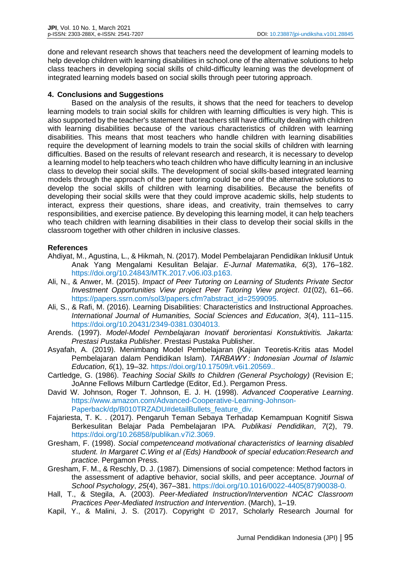done and relevant research shows that teachers need the development of learning models to help develop children with learning disabilities in school.one of the alternative solutions to help class teachers in developing social skills of child-difficulty learning was the development of integrated learning models based on social skills through peer tutoring approach.

# **4. Conclusions and Suggestions**

Based on the analysis of the results, it shows that the need for teachers to develop learning models to train social skills for children with learning difficulties is very high. This is also supported by the teacher's statement that teachers still have difficulty dealing with children with learning disabilities because of the various characteristics of children with learning disabilities. This means that most teachers who handle children with learning disabilities require the development of learning models to train the social skills of children with learning difficulties. Based on the results of relevant research and research, it is necessary to develop a learning model to help teachers who teach children who have difficulty learning in an inclusive class to develop their social skills. The development of social skills-based integrated learning models through the approach of the peer tutoring could be one of the alternative solutions to develop the social skills of children with learning disabilities. Because the benefits of developing their social skills were that they could improve academic skills, help students to interact, express their questions, share ideas, and creativity, train themselves to carry responsibilities, and exercise patience. By developing this learning model, it can help teachers who teach children with learning disabilities in their class to develop their social skills in the classroom together with other children in inclusive classes.

# **References**

- Ahdiyat, M., Agustina, L., & Hikmah, N. (2017). Model Pembelajaran Pendidikan Inklusif Untuk Anak Yang Mengalami Kesulitan Belajar. *E-Jurnal Matematika*, *6*(3), 176–182. https://doi.org/10.24843/MTK.2017.v06.i03.p163.
- Ali, N., & Anwer, M. (2015). *Impact of Peer Tutoring on Learning of Students Private Sector Investment Opportunities View project Peer Tutoring View project*. *01*(02), 61–66. https://papers.ssrn.com/sol3/papers.cfm?abstract\_id=2599095.
- Ali, S., & Rafi, M. (2016). Learning Disabilities: Characteristics and Instructional Approaches. *International Journal of Humanities, Social Sciences and Education*, *3*(4), 111–115. https://doi.org/10.20431/2349-0381.0304013.
- Arends. (1997). *Model-Model Pembelajaran Inovatif berorientasi Konstuktivitis. Jakarta: Prestasi Pustaka Publisher*. Prestasi Pustaka Publisher.
- Asyafah, A. (2019). Menimbang Model Pembelajaran (Kajian Teoretis-Kritis atas Model Pembelajaran dalam Pendidikan Islam). *TARBAWY : Indonesian Journal of Islamic Education*, *6*(1), 19–32. https://doi.org/10.17509/t.v6i1.20569..
- Cartledge, G. (1986). *Teaching Social Skills to Children (General Psychology)* (Revision E; JoAnne Fellows Milburn Cartledge (Editor, Ed.). Pergamon Press.
- David W. Johnson, Roger T. Johnson, E. J. H. (1998). *Advanced Cooperative Learning*. https://www.amazon.com/Advanced-Cooperative-Learning-Johnson-Paperback/dp/B010TRZADU#detailBullets feature div.
- Fajariesta, T. K. . (2017). Pengaruh Teman Sebaya Terhadap Kemampuan Kognitif Siswa Berkesulitan Belajar Pada Pembelajaran IPA. *Publikasi Pendidikan*, *7*(2), 79. https://doi.org/10.26858/publikan.v7i2.3069.
- Gresham, F. (1998). *Social competenceand motivational characteristics of learning disabled student. In Margaret C.Wing et al (Eds) Handbook of special education:Research and practice*. Pergamon Press.
- Gresham, F. M., & Reschly, D. J. (1987). Dimensions of social competence: Method factors in the assessment of adaptive behavior, social skills, and peer acceptance. *Journal of School Psychology*, *25*(4), 367–381. https://doi.org/10.1016/0022-4405(87)90038-0.
- Hall, T., & Stegila, A. (2003). *Peer-Mediated Instruction/Intervention NCAC Classroom Practices Peer-Mediated Instruction and Intervention*. (March), 1–19.
- Kapil, Y., & Malini, J. S. (2017). Copyright © 2017, Scholarly Research Journal for